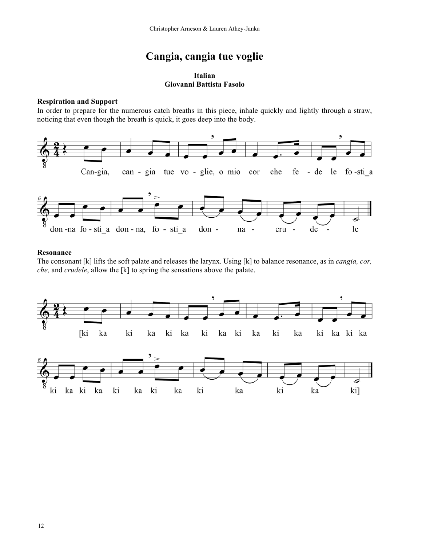# **Cangia, cangia tue voglie**

# **Italian Giovanni Battista Fasolo**

# **Respiration and Support**

In order to prepare for the numerous catch breaths in this piece, inhale quickly and lightly through a straw, noticing that even though the breath is quick, it goes deep into the body.





## **Resonance**

The consonant [k] lifts the soft palate and releases the larynx. Using [k] to balance resonance, as in *cangia, cor, che,* and *crudele*, allow the [k] to spring the sensations above the palate.

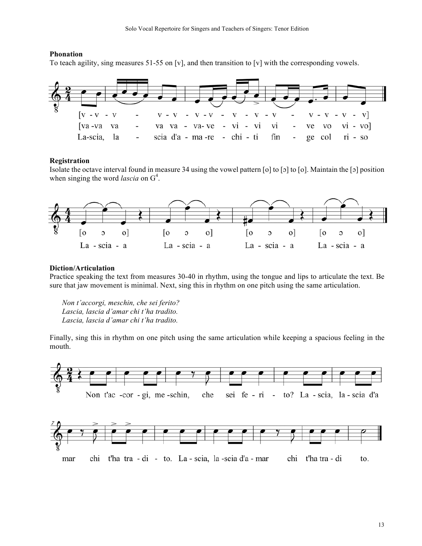## **Phonation**

To teach agility, sing measures 51-55 on [v], and then transition to [v] with the corresponding vowels.



#### **Registration**

Isolate the octave interval found in measure 34 using the vowel pattern [o] to [ɔ] to [o]. Maintain the [ɔ] position when singing the word *lascia* on  $G<sup>4</sup>$ .



#### **Diction/Articulation**

Practice speaking the text from measures 30-40 in rhythm, using the tongue and lips to articulate the text. Be sure that jaw movement is minimal. Next, sing this in rhythm on one pitch using the same articulation.

*Non t'accorgi, meschin, che sei ferito? Lascia, lascia d'amar chi t'ha tradito. Lascia, lascia d'amar chi t'ha tradito.*

Finally, sing this in rhythm on one pitch using the same articulation while keeping a spacious feeling in the mouth.

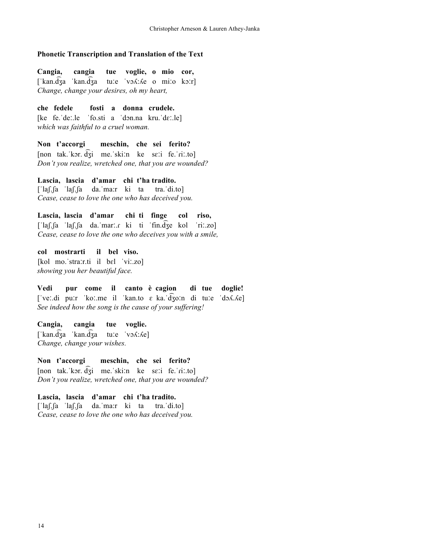#### **Phonetic Transcription and Translation of the Text**

**Cangia, cangia tue voglie, o mio cor,**  $[$ 'kan.d $\overline{3}a$  'kan.d $\overline{3}a$  tuːe 'vɔʎːAe o miːo kɔːr] *Change, change your desires, oh my heart,*

**che fedele fosti a donna crudele.** [ke fe.ˈdeː.le ˈfo.sti a ˈdɔn.na kru.ˈdɛː.le] *which was faithful to a cruel woman.*

**Non t'accorgi meschin, che sei ferito?** [non tak.ˈkɔr. d ͡ʒi me.ˈskiːn ke sɛːi fe.ˈɾiː.to] *Don't you realize, wretched one, that you are wounded?*

**Lascia, lascia d'amar chi t'ha tradito.** [ˈlaʃ.ʃa ˈlaʃ.ʃa da.ˈma:r ki ta tra.ˈdi.to] *Cease, cease to love the one who has deceived you.*

**Lascia, lascia d'amar chi ti finge col riso,** [ˈlaʃ.ʃa ˈlaʃ.ʃa da.ˈmarː.ɾ ki ti ˈfin.d ͡ʒe kol ˈriː.zo] *Cease, cease to love the one who deceives you with a smile,*

**col mostrarti il bel viso.** [kol mo.ˈstraːr.ti il bɛl ˈviː.zo] *showing you her beautiful face.*

**Vedi pur come il canto è cagion di tue doglie!** [ˈveː.di puːr ˈkoː.me il ˈkan.to ɛ ka.ˈd ͡ʒoːn di tuːe ˈdɔʎ.ʎe] *See indeed how the song is the cause of your suffering!*

**Cangia, cangia tue voglie.**   $[\text{ 'kan}.\text{d} \overline{3}a \text{ 'kan}.\text{d} \overline{3}a \text{ tur}.e \text{ 'vo} \lambda:\text{A}e]$ *Change, change your wishes.*

**Non t'accorgi meschin, che sei ferito?** [non tak.ˈkɔr. d ͡ʒi me.ˈskiːn ke sɛːi fe.ˈɾiː.to] *Don't you realize, wretched one, that you are wounded?*

**Lascia, lascia d'amar chi t'ha tradito.** [ˈlaʃ.ʃa ˈlaʃ.ʃa da.ˈma:r ki ta tra.ˈdi.to] *Cease, cease to love the one who has deceived you.*